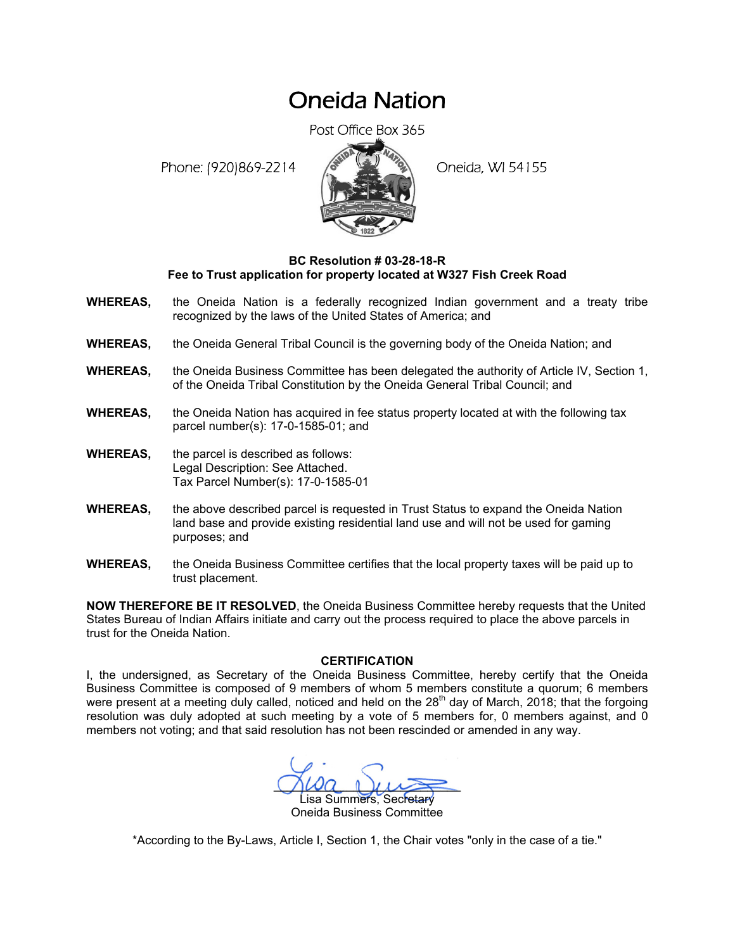## Oneida Nation

Post Office Box 365

Phone: (920)869-2214 (8 22 3) Oneida, WI 54155



## **BC Resolution # 03-28-18-R Fee to Trust application for property located at W327 Fish Creek Road**

- **WHEREAS,** the Oneida Nation is a federally recognized Indian government and a treaty tribe recognized by the laws of the United States of America; and
- **WHEREAS,** the Oneida General Tribal Council is the governing body of the Oneida Nation; and
- **WHEREAS,** the Oneida Business Committee has been delegated the authority of Article IV, Section 1, of the Oneida Tribal Constitution by the Oneida General Tribal Council; and
- **WHEREAS,** the Oneida Nation has acquired in fee status property located at with the following tax parcel number(s): 17-0-1585-01; and
- **WHEREAS,** the parcel is described as follows: Legal Description: See Attached. Tax Parcel Number(s): 17-0-1585-01
- **WHEREAS,** the above described parcel is requested in Trust Status to expand the Oneida Nation land base and provide existing residential land use and will not be used for gaming purposes; and
- **WHEREAS,** the Oneida Business Committee certifies that the local property taxes will be paid up to trust placement.

**NOW THEREFORE BE IT RESOLVED**, the Oneida Business Committee hereby requests that the United States Bureau of Indian Affairs initiate and carry out the process required to place the above parcels in trust for the Oneida Nation.

## **CERTIFICATION**

I, the undersigned, as Secretary of the Oneida Business Committee, hereby certify that the Oneida Business Committee is composed of 9 members of whom 5 members constitute a quorum; 6 members were present at a meeting duly called, noticed and held on the  $28<sup>th</sup>$  day of March, 2018; that the forgoing resolution was duly adopted at such meeting by a vote of 5 members for, 0 members against, and 0 members not voting; and that said resolution has not been rescinded or amended in any way.

 $M^2$ isa Summers, Secretary Oneida Business Committee

\*According to the By-Laws, Article I, Section 1, the Chair votes "only in the case of a tie."